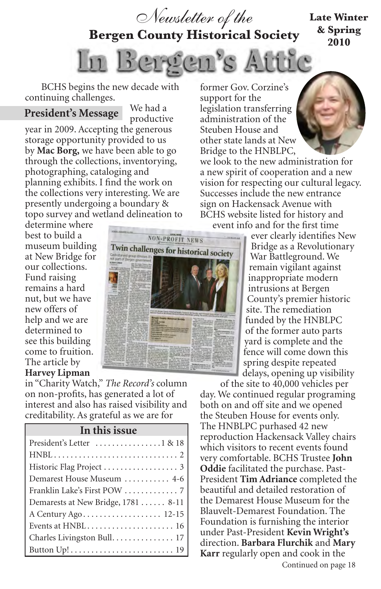

**Bergen County Historical Society**

#### **Late Winter & Spring 2010**

Lu Bergen's Attic

BCHS begins the new decade with continuing challenges.

#### **President's Message**

We had a productive

year in 2009. Accepting the generous storage opportunity provided to us by **Mac Borg,** we have been able to go through the collections, inventorying, photographing, cataloging and planning exhibits. I find the work on the collections very interesting. We are presently undergoing a boundary & topo survey and wetland delineation to former Gov. Corzine's support for the legislation transferring administration of the Steuben House and other state lands at New Bridge to the HNBLPC,

we look to the new administration for a new spirit of cooperation and a new vision for respecting our cultural legacy. Successes include the new entrance sign on Hackensack Avenue with BCHS website listed for history and event info and for the first time

determine where best to build a museum building at New Bridge for our collections. Fund raising remains a hard nut, but we have new offers of help and we are determined to see this building come to fruition. The article by **Harvey Lipman**



in "Charity Watch," *The Record's* column on non-profits, has generated a lot of interest and also has raised visibility and creditability. As grateful as we are for

#### **In this issue**

| Demarest House Museum  4-6                                                     |
|--------------------------------------------------------------------------------|
|                                                                                |
| Demarests at New Bridge, 1781  8-11                                            |
|                                                                                |
|                                                                                |
| Charles Livingston Bull. 17                                                    |
| Button $Up! \ldots \ldots \ldots \ldots \ldots \ldots \ldots \ldots \ldots 19$ |

ever clearly identifies New Bridge as a Revolutionary War Battleground. We remain vigilant against inappropriate modern intrusions at Bergen County's premier historic site. The remediation funded by the HNBLPC of the former auto parts yard is complete and the fence will come down this spring despite repeated delays, opening up visibility

of the site to 40,000 vehicles per day. We continued regular programing both on and off site and we opened the Steuben House for events only. The HNBLPC purhased 42 new reproduction Hackensack Valley chairs which visitors to recent events found very comfortable. BCHS Trustee **John Oddie** facilitated the purchase. Past-President **Tim Adriance** completed the beautiful and detailed restoration of the Demarest House Museum for the Blauvelt-Demarest Foundation. The Foundation is furnishing the interior under Past-President **Kevin Wright's**  direction. **Barbara Flurchik** and **Mary Karr** regularly open and cook in the Continued on page 18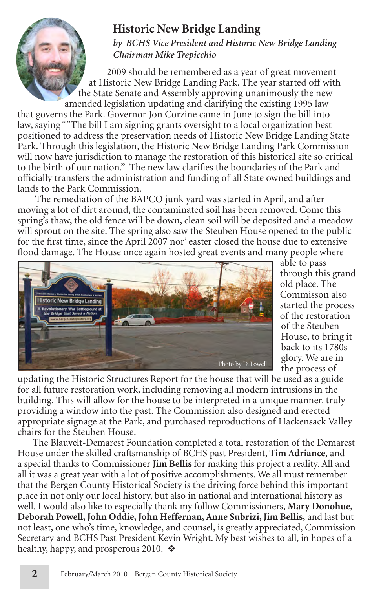## **Historic New Bridge Landing**

*by BCHS Vice President and Historic New Bridge Landing Chairman Mike Trepicchio*

2009 should be remembered as a year of great movement at Historic New Bridge Landing Park. The year started off with the State Senate and Assembly approving unanimously the new amended legislation updating and clarifying the existing 1995 law

that governs the Park. Governor Jon Corzine came in June to sign the bill into law, saying ""The bill I am signing grants oversight to a local organization best positioned to address the preservation needs of Historic New Bridge Landing State Park. Through this legislation, the Historic New Bridge Landing Park Commission will now have jurisdiction to manage the restoration of this historical site so critical to the birth of our nation." The new law clarifies the boundaries of the Park and officially transfers the administration and funding of all State owned buildings and lands to the Park Commission.

The remediation of the BAPCO junk yard was started in April, and after moving a lot of dirt around, the contaminated soil has been removed. Come this spring's thaw, the old fence will be down, clean soil will be deposited and a meadow will sprout on the site. The spring also saw the Steuben House opened to the public for the first time, since the April 2007 nor' easter closed the house due to extensive flood damage. The House once again hosted great events and many people where



able to pass through this grand old place. The Commisson also started the process of the restoration of the Steuben House, to bring it back to its 1780s glory. We are in the process of

updating the Historic Structures Report for the house that will be used as a guide for all future restoration work, including removing all modern intrusions in the building. This will allow for the house to be interpreted in a unique manner, truly providing a window into the past. The Commission also designed and erected appropriate signage at the Park, and purchased reproductions of Hackensack Valley chairs for the Steuben House.

The Blauvelt-Demarest Foundation completed a total restoration of the Demarest House under the skilled craftsmanship of BCHS past President, **Tim Adriance,** and a special thanks to Commissioner **Jim Bellis** for making this project a reality. All and all it was a great year with a lot of positive accomplishments. We all must remember that the Bergen County Historical Society is the driving force behind this important place in not only our local history, but also in national and international history as well. I would also like to especially thank my follow Commissioners, **Mary Donohue, Deborah Powell, John Oddie, John Heffernan, Anne Subrizi, Jim Bellis,** and last but not least, one who's time, knowledge, and counsel, is greatly appreciated, Commission Secretary and BCHS Past President Kevin Wright. My best wishes to all, in hopes of a healthy, happy, and prosperous 2010.  $\triangle$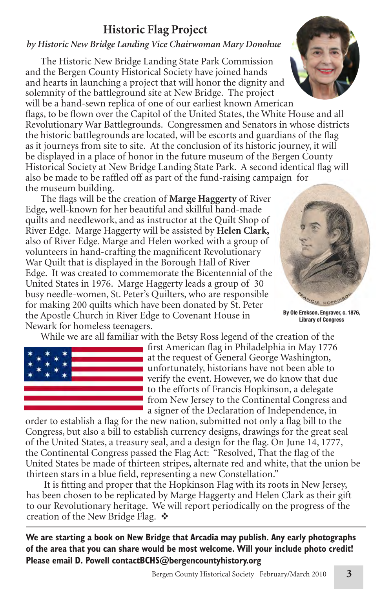## **Historic Flag Project**

#### *by Historic New Bridge Landing Vice Chairwoman Mary Donohue*

The Historic New Bridge Landing State Park Commission and the Bergen County Historical Society have joined hands and hearts in launching a project that will honor the dignity and solemnity of the battleground site at New Bridge. The project will be a hand-sewn replica of one of our earliest known American

flags, to be flown over the Capitol of the United States, the White House and all Revolutionary War Battlegrounds. Congressmen and Senators in whose districts the historic battlegrounds are located, will be escorts and guardians of the flag as it journeys from site to site. At the conclusion of its historic journey, it will be displayed in a place of honor in the future museum of the Bergen County Historical Society at New Bridge Landing State Park. A second identical flag will also be made to be raffled off as part of the fund-raising campaign for the museum building.

The flags will be the creation of **Marge Haggerty** of River Edge, well-known for her beautiful and skillful hand-made quilts and needlework, and as instructor at the Quilt Shop of River Edge. Marge Haggerty will be assisted by **Helen Clark,** also of River Edge. Marge and Helen worked with a group of volunteers in hand-crafting the magnificent Revolutionary War Quilt that is displayed in the Borough Hall of River Edge. It was created to commemorate the Bicentennial of the United States in 1976. Marge Haggerty leads a group of 30 busy needle-women, St. Peter's Quilters, who are responsible for making 200 quilts which have been donated by St. Peter the Apostle Church in River Edge to Covenant House in Newark for homeless teenagers.

While we are all familiar with the Betsy Ross legend of the creation of the



first American flag in Philadelphia in May 1776 at the request of General George Washington, unfortunately, historians have not been able to verify the event. However, we do know that due to the efforts of Francis Hopkinson, a delegate from New Jersey to the Continental Congress and a signer of the Declaration of Independence, in

order to establish a flag for the new nation, submitted not only a flag bill to the Congress, but also a bill to establish currency designs, drawings for the great seal of the United States, a treasury seal, and a design for the flag. On June 14, 1777, the Continental Congress passed the Flag Act: "Resolved, That the flag of the United States be made of thirteen stripes, alternate red and white, that the union be thirteen stars in a blue field, representing a new Constellation."

It is fitting and proper that the Hopkinson Flag with its roots in New Jersey, has been chosen to be replicated by Marge Haggerty and Helen Clark as their gift to our Revolutionary heritage. We will report periodically on the progress of the creation of the New Bridge Flag.  $\cdot$ 

**We are starting a book on New Bridge that Arcadia may publish. Any early photographs of the area that you can share would be most welcome. Will your include photo credit! Please email D. Powell contactBCHS@bergencountyhistory.org**





**By Ole Erekson, Engraver, c. 1876, Library of Congress**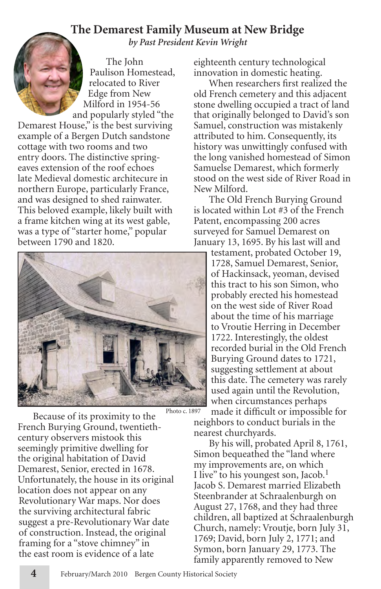## **The Demarest Family Museum at New Bridge**

*by Past President Kevin Wright*

The John Paulison Homestead, relocated to River Edge from New Milford in 1954-56 and popularly styled "the Demarest House," is the best surviving example of a Bergen Dutch sandstone cottage with two rooms and two entry doors. The distinctive springeaves extension of the roof echoes late Medieval domestic architecure in northern Europe, particularly France, and was designed to shed rainwater. This beloved example, likely built with a frame kitchen wing at its west gable, was a type of "starter home," popular between 1790 and 1820.



Because of its proximity to the French Burying Ground, twentiethcentury observers mistook this seemingly primitive dwelling for the original habitation of David Demarest, Senior, erected in 1678. Unfortunately, the house in its original location does not appear on any Revolutionary War maps. Nor does the surviving architectural fabric suggest a pre-Revolutionary War date of construction. Instead, the original framing for a "stove chimney" in the east room is evidence of a late

eighteenth century technological innovation in domestic heating.

When researchers first realized the old French cemetery and this adjacent stone dwelling occupied a tract of land that originally belonged to David's son Samuel, construction was mistakenly attributed to him. Consequently, its history was unwittingly confused with the long vanished homestead of Simon Samuelse Demarest, which formerly stood on the west side of River Road in New Milford.

The Old French Burying Ground is located within Lot #3 of the French Patent, encompassing 200 acres surveyed for Samuel Demarest on January 13, 1695. By his last will and

testament, probated October 19, 1728, Samuel Demarest, Senior, of Hackinsack, yeoman, devised this tract to his son Simon, who probably erected his homestead on the west side of River Road about the time of his marriage to Vroutie Herring in December 1722. Interestingly, the oldest recorded burial in the Old French Burying Ground dates to 1721, suggesting settlement at about this date. The cemetery was rarely used again until the Revolution, when circumstances perhaps

made it difficult or impossible for neighbors to conduct burials in the nearest churchyards.

By his will, probated April 8, 1761, Simon bequeathed the "land where my improvements are, on which I live" to his youngest son, Jacob.<sup>1</sup> Jacob S. Demarest married Elizabeth Steenbrander at Schraalenburgh on August 27, 1768, and they had three children, all baptized at Schraalenburgh Church, namely: Vroutje, born July 31, 1769; David, born July 2, 1771; and Symon, born January 29, 1773. The family apparently removed to New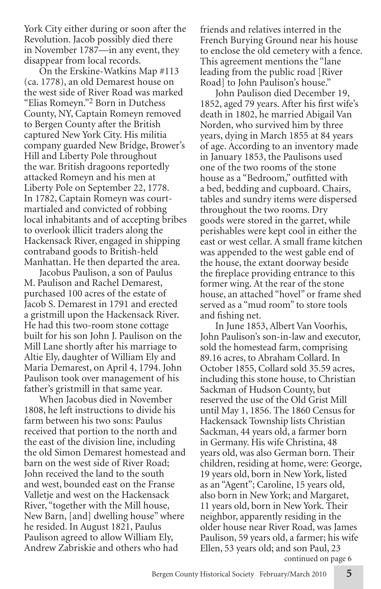York City either during or soon after the Revolution. Jacob possibly died there in November 1787—in any event, they disappear from local records.

On the Erskine-Watkins Map #113 (ca. 1778), an old Demarest house on the west side of River Road was marked "Elias Romeyn."2 Born in Dutchess County, NY, Captain Romeyn removed to Bergen County after the British captured New York City. His militia company guarded New Bridge, Brower's Hill and Liberty Pole throughout the war. British dragoons reportedly attacked Romeyn and his men at Liberty Pole on September 22, 1778. In 1782, Captain Romeyn was courtmartialed and convicted of robbing local inhabitants and of accepting bribes to overlook illicit traders along the Hackensack River, engaged in shipping contraband goods to British-held Manhattan. He then departed the area.

Jacobus Paulison, a son of Paulus M. Paulison and Rachel Demarest, purchased 100 acres of the estate of Jacob S. Demarest in 1791 and erected a gristmill upon the Hackensack River. He had this two-room stone cottage built for his son John J. Paulison on the Mill Lane shortly after his marriage to Altie Ely, daughter of William Ely and Maria Demarest, on April 4, 1794. John Paulison took over management of his father's gristmill in that same year.

When Jacobus died in November 1808, he left instructions to divide his farm between his two sons: Paulus received that portion to the north and the east of the division line, including the old Simon Demarest homestead and barn on the west side of River Road; John received the land to the south and west, bounded east on the Franse Valletje and west on the Hackensack River, "together with the Mill house, New Barn, [and] dwelling house" where he resided. In August 1821, Paulus Paulison agreed to allow William Ely, Andrew Zabriskie and others who had

friends and relatives interred in the French Burying Ground near his house to enclose the old cemetery with a fence. This agreement mentions the "lane leading from the public road [River Road] to John Paulison's house."

John Paulison died December 19, 1852, aged 79 years. After his first wife's death in 1802, he married Abigail Van Norden, who survived him by three years, dying in March 1855 at 84 years of age. According to an inventory made in January 1853, the Paulisons used one of the two rooms of the stone house as a "Bedroom," outfitted with a bed, bedding and cupboard. Chairs, tables and sundry items were dispersed throughout the two rooms. Dry goods were stored in the garret, while perishables were kept cool in either the east or west cellar. A small frame kitchen was appended to the west gable end of the house, the extant doorway beside the fireplace providing entrance to this former wing. At the rear of the stone house, an attached "hovel" or frame shed served as a "mud room" to store tools and fishing net.

In June 1853, Albert Van Voorhis, John Paulison's son-in-law and executor, sold the homestead farm, comprising 89.16 acres, to Abraham Collard. In October 1855, Collard sold 35.59 acres, including this stone house, to Christian Sackman of Hudson County, but reserved the use of the Old Grist Mill until May 1, 1856. The 1860 Census for Hackensack Township lists Christian Sackman, 44 years old, a farmer born in Germany. His wife Christina, 48 years old, was also German born. Their children, residing at home, were: George, 19 years old, born in New York, listed as an "Agent"; Caroline, 15 years old, also born in New York; and Margaret, 11 years old, born in New York. Their neighbor, apparently residing in the older house near River Road, was James Paulison, 59 years old, a farmer; his wife Ellen, 53 years old; and son Paul, 23 continued on page 6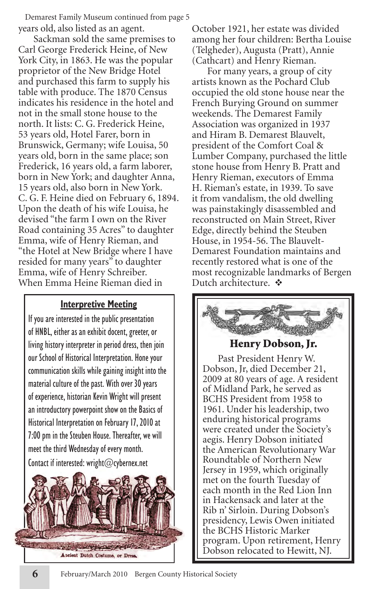years old, also listed as an agent. Demarest Family Museum continued from page 5

Sackman sold the same premises to Carl George Frederick Heine, of New York City, in 1863. He was the popular proprietor of the New Bridge Hotel and purchased this farm to supply his table with produce. The 1870 Census indicates his residence in the hotel and not in the small stone house to the north. It lists: C. G. Frederick Heine, 53 years old, Hotel Farer, born in Brunswick, Germany; wife Louisa, 50 years old, born in the same place; son Frederick, 16 years old, a farm laborer, born in New York; and daughter Anna, 15 years old, also born in New York. C. G. F. Heine died on February 6, 1894. Upon the death of his wife Louisa, he devised "the farm I own on the River Road containing 35 Acres" to daughter Emma, wife of Henry Rieman, and "the Hotel at New Bridge where I have resided for many years" to daughter Emma, wife of Henry Schreiber. When Emma Heine Rieman died in

#### **Interpretive Meeting**

If you are interested in the public presentation of HNBL, either as an exhibit docent, greeter, or living history interpreter in period dress, then join our School of Historical Interpretation. Hone your communication skills while gaining insight into the material culture of the past. With over 30 years of experience, historian Kevin Wright will present an introductory powerpoint show on the Basics of Historical Interpretation on February 17, 2010 at 7:00 pm in the Steuben House. Thereafter, we will meet the third Wednesday of every month. Contact if interested: wright@cybernex.net



October 1921, her estate was divided among her four children: Bertha Louise (Telgheder), Augusta (Pratt), Annie (Cathcart) and Henry Rieman.

For many years, a group of city artists known as the Pochard Club occupied the old stone house near the French Burying Ground on summer weekends. The Demarest Family Association was organized in 1937 and Hiram B. Demarest Blauvelt, president of the Comfort Coal & Lumber Company, purchased the little stone house from Henry B. Pratt and Henry Rieman, executors of Emma H. Rieman's estate, in 1939. To save it from vandalism, the old dwelling was painstakingly disassembled and reconstructed on Main Street, River Edge, directly behind the Steuben House, in 1954-56. The Blauvelt-Demarest Foundation maintains and recently restored what is one of the most recognizable landmarks of Bergen Dutch architecture.  $\mathbf{\hat{v}}$ 

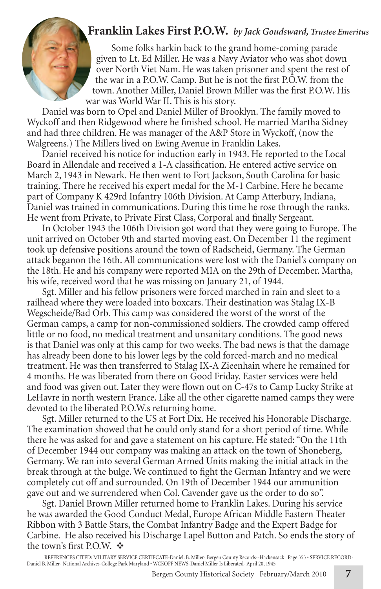## **Franklin Lakes First P.O.W.** *by Jack Goudsward, Trustee Emeritus*

Some folks harkin back to the grand home-coming parade given to Lt. Ed Miller. He was a Navy Aviator who was shot down over North Viet Nam. He was taken prisoner and spent the rest of the war in a P.O.W. Camp. But he is not the first P.O.W. from the town. Another Miller, Daniel Brown Miller was the first P.O.W. His war was World War II. This is his story.

Daniel was born to Opel and Daniel Miller of Brooklyn. The family moved to Wyckoff and then Ridgewood where he finished school. He married Martha Sidney and had three children. He was manager of the A&P Store in Wyckoff, (now the Walgreens.) The Millers lived on Ewing Avenue in Franklin Lakes.

Daniel received his notice for induction early in 1943. He reported to the Local Board in Allendale and received a 1-A classification. He entered active service on March 2, 1943 in Newark. He then went to Fort Jackson, South Carolina for basic training. There he received his expert medal for the M-1 Carbine. Here he became part of Company K 429rd Infantry 106th Division. At Camp Atterbury, Indiana, Daniel was trained in communications. During this time he rose through the ranks. He went from Private, to Private First Class, Corporal and finally Sergeant.

In October 1943 the 106th Division got word that they were going to Europe. The unit arrived on October 9th and started moving east. On December 11 the regiment took up defensive positions around the town of Radscheid, Germany. The German attack beganon the 16th. All communications were lost with the Daniel's company on the 18th. He and his company were reported MIA on the 29th of December. Martha, his wife, received word that he was missing on January 21, of 1944.

Sgt. Miller and his fellow prisoners were forced marched in rain and sleet to a railhead where they were loaded into boxcars. Their destination was Stalag IX-B Wegscheide/Bad Orb. This camp was considered the worst of the worst of the German camps, a camp for non-commissioned soldiers. The crowded camp offered little or no food, no medical treatment and unsanitary conditions. The good news is that Daniel was only at this camp for two weeks. The bad news is that the damage has already been done to his lower legs by the cold forced-march and no medical treatment. He was then transferred to Stalag IX-A Zieenhain where he remained for 4 months. He was liberated from there on Good Friday. Easter services were held and food was given out. Later they were flown out on C-47s to Camp Lucky Strike at LeHavre in north western France. Like all the other cigarette named camps they were devoted to the liberated P.O.W.s returning home.

Sgt. Miller returned to the US at Fort Dix. He received his Honorable Discharge. The examination showed that he could only stand for a short period of time. While there he was asked for and gave a statement on his capture. He stated: "On the 11th of December 1944 our company was making an attack on the town of Shoneberg, Germany. We ran into several German Armed Units making the initial attack in the break through at the bulge. We continued to fight the German Infantry and we were completely cut off and surrounded. On 19th of December 1944 our ammunition gave out and we surrendered when Col. Cavender gave us the order to do so".

Sgt. Daniel Brown Miller returned home to Franklin Lakes. During his service he was awarded the Good Conduct Medal, Europe African Middle Eastern Theater Ribbon with 3 Battle Stars, the Combat Infantry Badge and the Expert Badge for Carbine. He also received his Discharge Lapel Button and Patch. So ends the story of the town's first P.O.W.  $\cdot \cdot \cdot$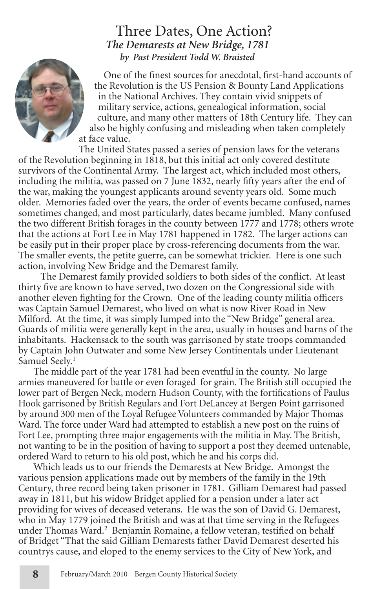#### Three Dates, One Action? *The Demarests at New Bridge, 1781 by Past President Todd W. Braisted*



One of the finest sources for anecdotal, first-hand accounts of the Revolution is the US Pension & Bounty Land Applications in the National Archives. They contain vivid snippets of military service, actions, genealogical information, social culture, and many other matters of 18th Century life. They can also be highly confusing and misleading when taken completely at face value.

The United States passed a series of pension laws for the veterans of the Revolution beginning in 1818, but this initial act only covered destitute survivors of the Continental Army. The largest act, which included most others, including the militia, was passed on 7 June 1832, nearly fifty years after the end of the war, making the youngest applicants around seventy years old. Some much older. Memories faded over the years, the order of events became confused, names sometimes changed, and most particularly, dates became jumbled. Many confused the two different British forages in the county between 1777 and 1778; others wrote that the actions at Fort Lee in May 1781 happened in 1782. The larger actions can be easily put in their proper place by cross-referencing documents from the war. The smaller events, the petite guerre, can be somewhat trickier. Here is one such action, involving New Bridge and the Demarest family.

 The Demarest family provided soldiers to both sides of the conflict. At least thirty five are known to have served, two dozen on the Congressional side with another eleven fighting for the Crown. One of the leading county militia officers was Captain Samuel Demarest, who lived on what is now River Road in New Milford. At the time, it was simply lumped into the "New Bridge" general area. Guards of militia were generally kept in the area, usually in houses and barns of the inhabitants. Hackensack to the south was garrisoned by state troops commanded by Captain John Outwater and some New Jersey Continentals under Lieutenant Samuel Seelv.<sup>1</sup>

The middle part of the year 1781 had been eventful in the county. No large armies maneuvered for battle or even foraged for grain. The British still occupied the lower part of Bergen Neck, modern Hudson County, with the fortifications of Paulus Hook garrisoned by British Regulars and Fort DeLancey at Bergen Point garrisoned by around 300 men of the Loyal Refugee Volunteers commanded by Major Thomas Ward. The force under Ward had attempted to establish a new post on the ruins of Fort Lee, prompting three major engagements with the militia in May. The British, not wanting to be in the position of having to support a post they deemed untenable, ordered Ward to return to his old post, which he and his corps did.

Which leads us to our friends the Demarests at New Bridge. Amongst the various pension applications made out by members of the family in the 19th Century, three record being taken prisoner in 1781. Gilliam Demarest had passed away in 1811, but his widow Bridget applied for a pension under a later act providing for wives of deceased veterans. He was the son of David G. Demarest, who in May 1779 joined the British and was at that time serving in the Refugees under Thomas Ward.<sup>2</sup> Benjamin Romaine, a fellow veteran, testified on behalf of Bridget "That the said Gilliam Demarests father David Demarest deserted his countrys cause, and eloped to the enemy services to the City of New York, and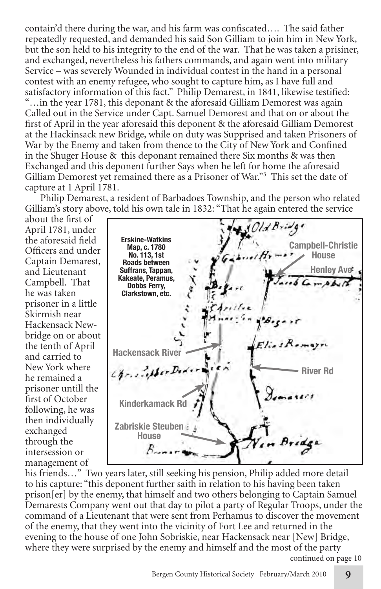contain'd there during the war, and his farm was confiscated…. The said father repeatedly requested, and demanded his said Son Gilliam to join him in New York, but the son held to his integrity to the end of the war. That he was taken a prisiner, and exchanged, nevertheless his fathers commands, and again went into military Service – was severely Wounded in individual contest in the hand in a personal contest with an enemy refugee, who sought to capture him, as I have full and satisfactory information of this fact." Philip Demarest, in 1841, likewise testified: "…in the year 1781, this deponant & the aforesaid Gilliam Demorest was again Called out in the Service under Capt. Samuel Demorest and that on or about the first of April in the year aforesaid this deponent & the aforesaid Gilliam Demorest at the Hackinsack new Bridge, while on duty was Supprised and taken Prisoners of War by the Enemy and taken from thence to the City of New York and Confined in the Shuger House & this deponant remained there Six months & was then Exchanged and this deponent further Says when he left for home the aforesaid Gilliam Demorest yet remained there as a Prisoner of War."<sup>3</sup> This set the date of capture at 1 April 1781.

Philip Demarest, a resident of Barbadoes Township, and the person who related Gilliam's story above, told his own tale in 1832: "That he again entered the service

about the first of April 1781, under the aforesaid field Officers and under Captain Demarest, and Lieutenant Campbell. That he was taken prisoner in a little Skirmish near Hackensack Newbridge on or about the tenth of April and carried to New York where he remained a prisoner untill the first of October following, he was then individually exchanged through the intersession or management of



his friends…" Two years later, still seeking his pension, Philip added more detail to his capture: "this deponent further saith in relation to his having been taken prison[er] by the enemy, that himself and two others belonging to Captain Samuel Demarests Company went out that day to pilot a party of Regular Troops, under the command of a Lieutenant that were sent from Perhamus to discover the movement of the enemy, that they went into the vicinity of Fort Lee and returned in the evening to the house of one John Sobriskie, near Hackensack near [New] Bridge, where they were surprised by the enemy and himself and the most of the party continued on page 10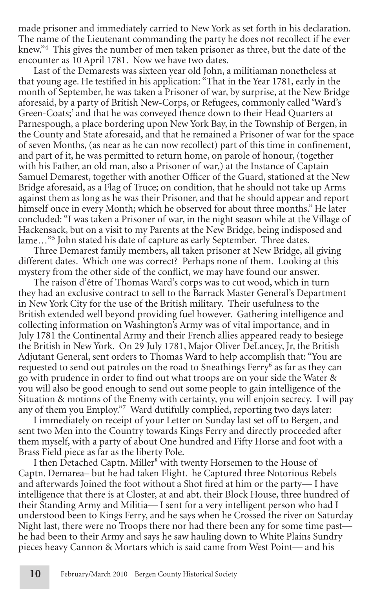made prisoner and immediately carried to New York as set forth in his declaration. The name of the Lieutenant commanding the party he does not recollect if he ever knew."4 This gives the number of men taken prisoner as three, but the date of the encounter as 10 April 1781. Now we have two dates.

Last of the Demarests was sixteen year old John, a militiaman nonetheless at that young age. He testified in his application: "That in the Year 1781, early in the month of September, he was taken a Prisoner of war, by surprise, at the New Bridge aforesaid, by a party of British New-Corps, or Refugees, commonly called 'Ward's Green-Coats;' and that he was conveyed thence down to their Head Quarters at Parnespough, a place bordering upon New York Bay, in the Township of Bergen, in the County and State aforesaid, and that he remained a Prisoner of war for the space of seven Months, (as near as he can now recollect) part of this time in confinement, and part of it, he was permitted to return home, on parole of honour, (together with his Father, an old man, also a Prisoner of war,) at the Instance of Captain Samuel Demarest, together with another Officer of the Guard, stationed at the New Bridge aforesaid, as a Flag of Truce; on condition, that he should not take up Arms against them as long as he was their Prisoner, and that he should appear and report himself once in every Month; which he observed for about three months." He later concluded: "I was taken a Prisoner of war, in the night season while at the Village of Hackensack, but on a visit to my Parents at the New Bridge, being indisposed and lame…"5 John stated his date of capture as early September. Three dates.

Three Demarest family members, all taken prisoner at New Bridge, all giving different dates. Which one was correct? Perhaps none of them. Looking at this mystery from the other side of the conflict, we may have found our answer.

The raison d'être of Thomas Ward's corps was to cut wood, which in turn they had an exclusive contract to sell to the Barrack Master General's Department in New York City for the use of the British military. Their usefulness to the British extended well beyond providing fuel however. Gathering intelligence and collecting information on Washington's Army was of vital importance, and in July 1781 the Continental Army and their French allies appeared ready to besiege the British in New York. On 29 July 1781, Major Oliver DeLancey, Jr, the British Adjutant General, sent orders to Thomas Ward to help accomplish that: "You are requested to send out patroles on the road to Sneathings Ferry<sup>6</sup> as far as they can go with prudence in order to find out what troops are on your side the Water & you will also be good enough to send out some people to gain intelligence of the Situation & motions of the Enemy with certainty, you will enjoin secrecy. I will pay any of them you Employ."7 Ward dutifully complied, reporting two days later:

I immediately on receipt of your Letter on Sunday last set off to Bergen, and sent two Men into the Country towards Kings Ferry and directly proceeded after them myself, with a party of about One hundred and Fifty Horse and foot with a Brass Field piece as far as the liberty Pole.

I then Detached Captn. Miller<sup>8</sup> with twenty Horsemen to the House of Captn. Demarea– but he had taken Flight. he Captured three Notorious Rebels and afterwards Joined the foot without a Shot fired at him or the party— I have intelligence that there is at Closter, at and abt. their Block House, three hundred of their Standing Army and Militia— I sent for a very intelligent person who had I understood been to Kings Ferry, and he says when he Crossed the river on Saturday Night last, there were no Troops there nor had there been any for some time past he had been to their Army and says he saw hauling down to White Plains Sundry pieces heavy Cannon & Mortars which is said came from West Point— and his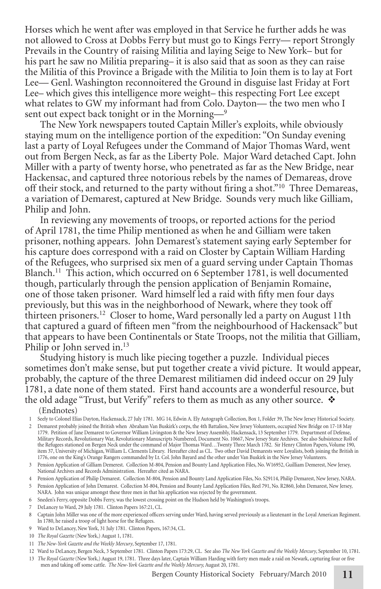Horses which he went after was employed in that Service he further adds he was not allowed to Cross at Dobbs Ferry but must go to Kings Ferry— report Strongly Prevails in the Country of raising Militia and laying Seige to New York– but for his part he saw no Militia preparing– it is also said that as soon as they can raise the Militia of this Province a Brigade with the Militia to Join them is to lay at Fort Lee— Genl. Washington reconnoitered the Ground in disguise last Friday at Fort Lee– which gives this intelligence more weight– this respecting Fort Lee except what relates to GW my informant had from Colo. Dayton— the two men who I sent out expect back tonight or in the Morning—<sup>9</sup>

The New York newspapers touted Captain Miller's exploits, while obviously staying mum on the intelligence portion of the expedition: "On Sunday evening last a party of Loyal Refugees under the Command of Major Thomas Ward, went out from Bergen Neck, as far as the Liberty Pole. Major Ward detached Capt. John Miller with a party of twenty horse, who penetrated as far as the New Bridge, near Hackensac, and captured three notorious rebels by the names of Demareas, drove off their stock, and returned to the party without firing a shot."10 Three Demareas, a variation of Demarest, captured at New Bridge. Sounds very much like Gilliam, Philip and John.

In reviewing any movements of troops, or reported actions for the period of April 1781, the time Philip mentioned as when he and Gilliam were taken prisoner, nothing appears. John Demarest's statement saying early September for his capture does correspond with a raid on Closter by Captain William Harding of the Refugees, who surprised six men of a guard serving under Captain Thomas Blanch.11 This action, which occurred on 6 September 1781, is well documented though, particularly through the pension application of Benjamin Romaine, one of those taken prisoner. Ward himself led a raid with fifty men four days previously, but this was in the neighborhood of Newark, where they took off thirteen prisoners.12 Closer to home, Ward personally led a party on August 11th that captured a guard of fifteen men "from the neighbourhood of Hackensack" but that appears to have been Continentals or State Troops, not the militia that Gilliam, Philip or John served in.<sup>13</sup>

Studying history is much like piecing together a puzzle. Individual pieces sometimes don't make sense, but put together create a vivid picture. It would appear, probably, the capture of the three Demarest militiamen did indeed occur on 29 July 1781, a date none of them stated. First hand accounts are a wonderful resource, but the old adage "Trust, but Verify" refers to them as much as any other source.  $\mathbf{\hat{*}}$ (Endnotes)

1 Seely to Colonel Elias Dayton, Hackensack, 27 July 1781. MG 14, Edwin A. Ely Autograph Collection, Box 1, Folder 39, The New Jersey Historical Society.

- 2 Demarest probably joined the British when Abraham Van Buskirk's corps, the 4th Battalion, New Jersey Volunteers, occupied New Bridge on 17-18 May 1779. Petition of Jane Demarest to Governor William Livingston & the New Jersey Assembly, Hackensack, 13 September 1779. Department of Defense,<br>Military Records, Revolutionary War, Revolutionary Manuscripts Numbered, Docum the Refugees stationed on Bergen Neck under the command of Major Thomas Ward…Twenty Three March 1782. Sir Henry Clinton Papers, Volume 190,<br>item 37, University of Michigan, William L. Clements Library. Hereafter cited as C 1776, one on the King's Orange Rangers commanded by Lt. Col. John Bayard and the other under Van Buskirk in the New Jersey Volunteers.
- 3 Pension Application of Gilliam Demerest. Collection M-804, Pension and Bounty Land Application Files, No. W16952, Guilliam Demerest, New Jersey, National Archives and Records Administration. Hereafter cited as NARA.

4 Pension Application of Philip Demarest. Collection M-804, Pension and Bounty Land Application Files, No. S29114, Philip Demarest, New Jersey, NARA.

- 5 Pension Application of John Demarest. Collection M-804, Pension and Bounty Land Application Files, Reel 791, No. R2860, John Demarest, New Jersey, NARA. John was unique amongst these three men in that his application was rejected by the government.
- 6 Sneden's Ferry, opposite Dobbs Ferry, was the lowest crossing point on the Hudson held by Washington's troops.
- 7 DeLancey to Ward, 29 July 1781. Clinton Papers 167:21, CL.
- 8 Captain John Miller was one of the more experienced officers serving under Ward, having served previously as a lieutenant in the Loyal American Regiment. In 1780, he raised a troop of light horse for the Refugees.
- 9 Ward to DeLancey, New York, 31 July 1781. Clinton Papers, 167:34, CL.
- 10 *The Royal Gazette* (New York,) August 1, 1781.
- 11 *The New-York Gazette and the Weekly Mercury*, September 17, 1781.
- 12 Ward to DeLancey, Bergen Neck, 3 September 1781. Clinton Papers 173:29, CL. See also *The New York Gazette and the Weekly Mercury*, September 10, 1781.
- 13 The Royal Gazette (New York,) August 19, 1781. Three days later, Captain William Harding with forty men made a raid on Newark, capturing four or five men and taking off some cattle. The New-York Gazette and the Weekly M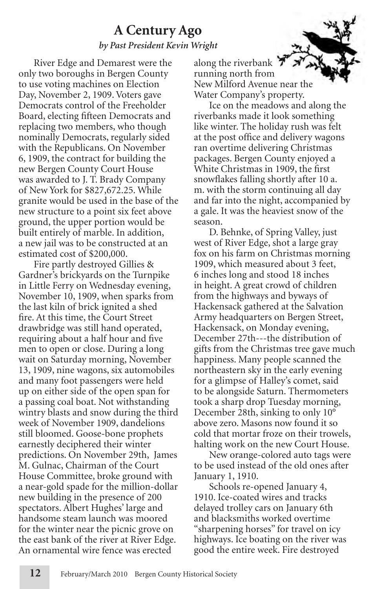## **A Century Ago** *by Past President Kevin Wright*

River Edge and Demarest were the only two boroughs in Bergen County to use voting machines on Election Day, November 2, 1909. Voters gave Democrats control of the Freeholder Board, electing fifteen Democrats and replacing two members, who though nominally Democrats, regularly sided with the Republicans. On November 6, 1909, the contract for building the new Bergen County Court House was awarded to J. T. Brady Company of New York for \$827,672.25. While granite would be used in the base of the new structure to a point six feet above ground, the upper portion would be built entirely of marble. In addition, a new jail was to be constructed at an estimated cost of \$200,000.

Fire partly destroyed Gillies & Gardner's brickyards on the Turnpike in Little Ferry on Wednesday evening, November 10, 1909, when sparks from the last kiln of brick ignited a shed fire. At this time, the Court Street drawbridge was still hand operated, requiring about a half hour and five men to open or close. During a long wait on Saturday morning, November 13, 1909, nine wagons, six automobiles and many foot passengers were held up on either side of the open span for a passing coal boat. Not withstanding wintry blasts and snow during the third week of November 1909, dandelions still bloomed. Goose-bone prophets earnestly deciphered their winter predictions. On November 29th, James M. Gulnac, Chairman of the Court House Committee, broke ground with a near-gold spade for the million-dollar new building in the presence of 200 spectators. Albert Hughes' large and handsome steam launch was moored for the winter near the picnic grove on the east bank of the river at River Edge. An ornamental wire fence was erected

along the riverbank 7 running north from New Milford Avenue near the Water Company's property.

Ice on the meadows and along the riverbanks made it look something like winter. The holiday rush was felt at the post office and delivery wagons ran overtime delivering Christmas packages. Bergen County enjoyed a White Christmas in 1909, the first snowflakes falling shortly after 10 a. m. with the storm continuing all day and far into the night, accompanied by a gale. It was the heaviest snow of the season.

D. Behnke, of Spring Valley, just west of River Edge, shot a large gray fox on his farm on Christmas morning 1909, which measured about 3 feet, 6 inches long and stood 18 inches in height. A great crowd of children from the highways and byways of Hackensack gathered at the Salvation Army headquarters on Bergen Street, Hackensack, on Monday evening, December 27th---the distribution of gifts from the Christmas tree gave much happiness. Many people scanned the northeastern sky in the early evening for a glimpse of Halley's comet, said to be alongside Saturn. Thermometers took a sharp drop Tuesday morning, December 28th, sinking to only 10° above zero. Masons now found it so cold that mortar froze on their trowels, halting work on the new Court House.

New orange-colored auto tags were to be used instead of the old ones after January 1, 1910.

Schools re-opened January 4, 1910. Ice-coated wires and tracks delayed trolley cars on January 6th and blacksmiths worked overtime "sharpening horses" for travel on icy highways. Ice boating on the river was good the entire week. Fire destroyed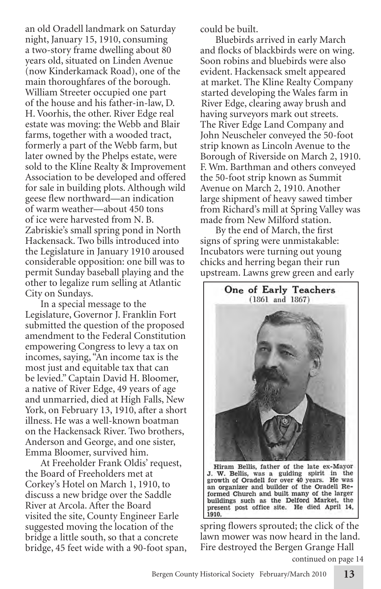an old Oradell landmark on Saturday night, January 15, 1910, consuming a two-story frame dwelling about 80 years old, situated on Linden Avenue (now Kinderkamack Road), one of the main thoroughfares of the borough. William Streeter occupied one part of the house and his father-in-law, D. H. Voorhis, the other. River Edge real estate was moving: the Webb and Blair farms, together with a wooded tract, formerly a part of the Webb farm, but later owned by the Phelps estate, were sold to the Kline Realty & Improvement Association to be developed and offered for sale in building plots. Although wild geese flew northward—an indication of warm weather—about 450 tons of ice were harvested from N. B. Zabriskie's small spring pond in North Hackensack. Two bills introduced into the Legislature in January 1910 aroused considerable opposition: one bill was to permit Sunday baseball playing and the other to legalize rum selling at Atlantic City on Sundays.

In a special message to the Legislature, Governor J. Franklin Fort submitted the question of the proposed amendment to the Federal Constitution empowering Congress to levy a tax on incomes, saying, "An income tax is the most just and equitable tax that can be levied." Captain David H. Bloomer, a native of River Edge, 49 years of age and unmarried, died at High Falls, New York, on February 13, 1910, after a short illness. He was a well-known boatman on the Hackensack River. Two brothers, Anderson and George, and one sister, Emma Bloomer, survived him.

At Freeholder Frank Oldis' request, the Board of Freeholders met at Corkey's Hotel on March 1, 1910, to discuss a new bridge over the Saddle River at Arcola. After the Board visited the site, County Engineer Earle suggested moving the location of the bridge a little south, so that a concrete bridge, 45 feet wide with a 90-foot span, could be built.

Bluebirds arrived in early March and flocks of blackbirds were on wing. Soon robins and bluebirds were also evident. Hackensack smelt appeared at market. The Kline Realty Company started developing the Wales farm in River Edge, clearing away brush and having surveyors mark out streets. The River Edge Land Company and John Neuscheler conveyed the 50-foot strip known as Lincoln Avenue to the Borough of Riverside on March 2, 1910. F. Wm. Barthman and others conveyed the 50-foot strip known as Summit Avenue on March 2, 1910. Another large shipment of heavy sawed timber from Richard's mill at Spring Valley was made from New Milford station.

By the end of March, the first signs of spring were unmistakable: Incubators were turning out young chicks and herring began their run upstream. Lawns grew green and early



J. W. Bellis, was a guiding spirit in the growth of Oradell for over 40 years. He was an organizer and builder of the Oradell Reformed Church and built many of the larger buildings such as the Delford Market, the present post office site. He died April 14, 1910.

spring flowers sprouted; the click of the lawn mower was now heard in the land. Fire destroyed the Bergen Grange Hall

continued on page 14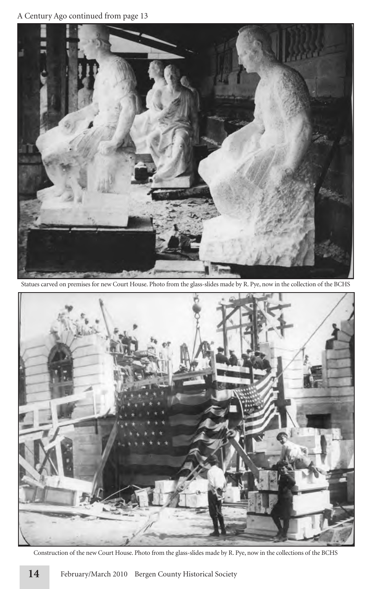#### A Century Ago continued from page 13



Statues carved on premises for new Court House. Photo from the glass-slides made by R. Pye, now in the collection of the BCHS



Construction of the new Court House. Photo from the glass-slides made by R. Pye, now in the collections of the BCHS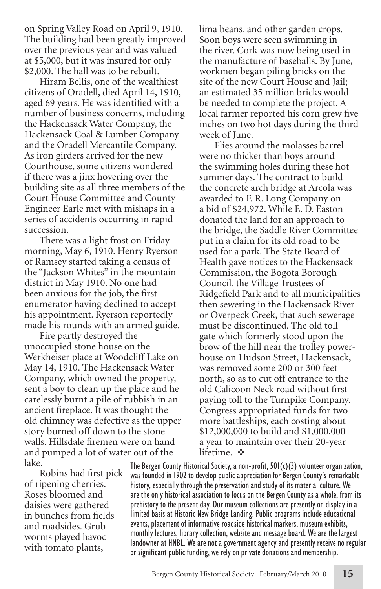on Spring Valley Road on April 9, 1910. The building had been greatly improved over the previous year and was valued at \$5,000, but it was insured for only \$2,000. The hall was to be rebuilt.

Hiram Bellis, one of the wealthiest citizens of Oradell, died April 14, 1910, aged 69 years. He was identified with a number of business concerns, including the Hackensack Water Company, the Hackensack Coal & Lumber Company and the Oradell Mercantile Company. As iron girders arrived for the new Courthouse, some citizens wondered if there was a jinx hovering over the building site as all three members of the Court House Committee and County Engineer Earle met with mishaps in a series of accidents occurring in rapid succession.

There was a light frost on Friday morning, May 6, 1910. Henry Ryerson of Ramsey started taking a census of the "Jackson Whites" in the mountain district in May 1910. No one had been anxious for the job, the first enumerator having declined to accept his appointment. Ryerson reportedly made his rounds with an armed guide.

Fire partly destroyed the unoccupied stone house on the Werkheiser place at Woodcliff Lake on May 14, 1910. The Hackensack Water Company, which owned the property, sent a boy to clean up the place and he carelessly burnt a pile of rubbish in an ancient fireplace. It was thought the old chimney was defective as the upper story burned off down to the stone walls. Hillsdale firemen were on hand and pumped a lot of water out of the lake.

Robins had first pick of ripening cherries. Roses bloomed and daisies were gathered in bunches from fields and roadsides. Grub worms played havoc with tomato plants,

lima beans, and other garden crops. Soon boys were seen swimming in the river. Cork was now being used in the manufacture of baseballs. By June, workmen began piling bricks on the site of the new Court House and Jail; an estimated 35 million bricks would be needed to complete the project. A local farmer reported his corn grew five inches on two hot days during the third week of June.

Flies around the molasses barrel were no thicker than boys around the swimming holes during these hot summer days. The contract to build the concrete arch bridge at Arcola was awarded to F. R. Long Company on a bid of \$24,972. While E. D. Easton donated the land for an approach to the bridge, the Saddle River Committee put in a claim for its old road to be used for a park. The State Board of Health gave notices to the Hackensack Commission, the Bogota Borough Council, the Village Trustees of Ridgefield Park and to all municipalities then sewering in the Hackensack River or Overpeck Creek, that such sewerage must be discontinued. The old toll gate which formerly stood upon the brow of the hill near the trolley powerhouse on Hudson Street, Hackensack, was removed some 200 or 300 feet north, so as to cut off entrance to the old Calicoon Neck road without first paying toll to the Turnpike Company. Congress appropriated funds for two more battleships, each costing about \$12,000,000 to build and \$1,000,000 a year to maintain over their 20-year lifetime.  $\mathbf{\hat{v}}$ 

The Bergen County Historical Society, a non-profit, 501(c)(3) volunteer organization, was founded in 1902 to develop public appreciation for Bergen County's remarkable history, especially through the preservation and study of its material culture. We are the only historical association to focus on the Bergen County as a whole, from its prehistory to the present day. Our museum collections are presently on display in a limited basis at Historic New Bridge Landing. Public programs include educational events, placement of informative roadside historical markers, museum exhibits, monthly lectures, library collection, website and message board. We are the largest landowner at HNBL. We are not a government agency and presently receive no regular or significant public funding, we rely on private donations and membership.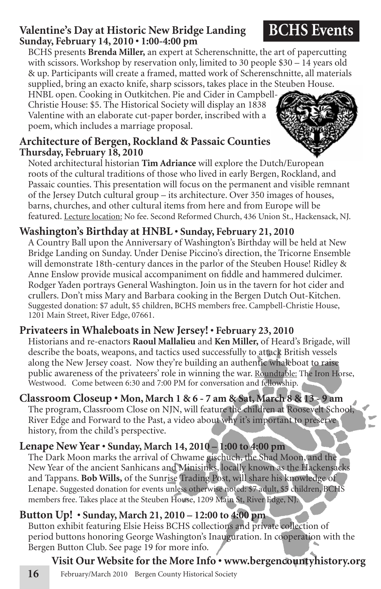## **Valentine's Day at Historic New Bridge Landing Sunday, February 14, 2010 • 1:00-4:00 pm**

BCHS presents **Brenda Miller,** an expert at Scherenschnitte, the art of papercutting with scissors. Workshop by reservation only, limited to 30 people \$30 – 14 years old & up. Participants will create a framed, matted work of Scherenschnitte, all materials supplied, bring an exacto knife, sharp scissors, takes place in the Steuben House.

HNBL open. Cooking in Outkitchen. Pie and Cider in Campbell-Christie House: \$5. The Historical Society will display an 1838 Valentine with an elaborate cut-paper border, inscribed with a poem, which includes a marriage proposal.

## **Architecture of Bergen, Rockland & Passaic Counties Thursday, February 18, 2010**

Noted architectural historian **Tim Adriance** will explore the Dutch/European roots of the cultural traditions of those who lived in early Bergen, Rockland, and Passaic counties. This presentation will focus on the permanent and visible remnant of the Jersey Dutch cultural group – its architecture. Over 350 images of houses, barns, churches, and other cultural items from here and from Europe will be featured. Lecture location: No fee. Second Reformed Church, 436 Union St., Hackensack, NJ.

## **Washington's Birthday at HNBL • Sunday, February 21, 2010**

A Country Ball upon the Anniversary of Washington's Birthday will be held at New Bridge Landing on Sunday. Under Denise Piccino's direction, the Tricorne Ensemble will demonstrate 18th-century dances in the parlor of the Steuben House! Ridley & Anne Enslow provide musical accompaniment on fiddle and hammered dulcimer. Rodger Yaden portrays General Washington. Join us in the tavern for hot cider and crullers. Don't miss Mary and Barbara cooking in the Bergen Dutch Out-Kitchen. Suggested donation: \$7 adult, \$5 children, BCHS members free. Campbell-Christie House, 1201 Main Street, River Edge, 07661.

## **Privateers in Whaleboats in New Jersey! • February 23, 2010**

Historians and re-enactors **Raoul Mallalieu** and **Ken Miller,** of Heard's Brigade, will describe the boats, weapons, and tactics used successfully to attack British vessels along the New Jersey coast. Now they're building an authentic whaleboat to raise public awareness of the privateers' role in winning the war. Roundtable: The Iron Horse, Westwood. Come between 6:30 and 7:00 PM for conversation and fellowship.

## **Classroom Closeup • Mon, March 1 & 6 - 7 am & Sat, March 8 & 13 - 9 am**

The program, Classroom Close on NJN, will feature the children at Roosevelt School, River Edge and Forward to the Past, a video about why it's important to preserve history, from the child's perspective.

## **Lenape New Year • Sunday, March 14, 2010 – 1:00 to 4:00 pm**

The Dark Moon marks the arrival of Chwame gischuch, the Shad Moon, and the New Year of the ancient Sanhicans and Minisinks, locally known as the Hackensacks and Tappans. **Bob Wills,** of the Sunrise Trading Post, will share his knowledge of Lenape. Suggested donation for events unless otherwise noted: \$7 adult, \$5 children, BCHS members free. Takes place at the Steuben House, 1209 Main St, River Edge, NJ.

## **Button Up! • Sunday, March 21, 2010 – 12:00 to 4:00 pm**

Button exhibit featuring Elsie Heiss BCHS collections and private collection of period buttons honoring George Washington's Inauguration. In cooperation with the Bergen Button Club. See page 19 for more info.

## **Visit Our Website for the More Info • www.bergencountyhistory.org**

16 February/March 2010 Bergen County Historical Society





## **BCHS Events**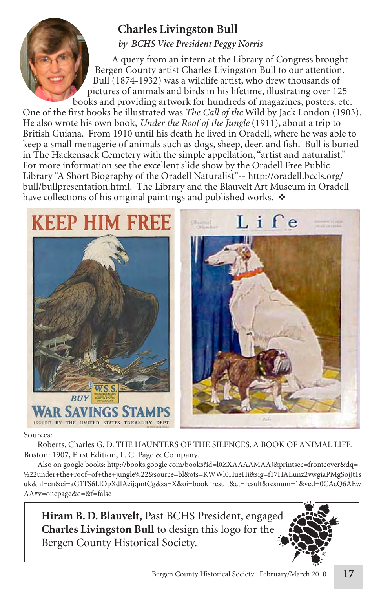## **Charles Livingston Bull**

*by BCHS Vice President Peggy Norris*

A query from an intern at the Library of Congress brought Bergen County artist Charles Livingston Bull to our attention. Bull (1874-1932) was a wildlife artist, who drew thousands of pictures of animals and birds in his lifetime, illustrating over 125 books and providing artwork for hundreds of magazines, posters, etc.

One of the first books he illustrated was *The Call of the* Wild by Jack London (1903). He also wrote his own book, *Under the Roof of the Jungle* (1911), about a trip to British Guiana. From 1910 until his death he lived in Oradell, where he was able to keep a small menagerie of animals such as dogs, sheep, deer, and fish. Bull is buried in The Hackensack Cemetery with the simple appellation, "artist and naturalist." For more information see the excellent slide show by the Oradell Free Public Library "A Short Biography of the Oradell Naturalist"-- http://oradell.bccls.org/ bull/bullpresentation.html. The Library and the Blauvelt Art Museum in Oradell have collections of his original paintings and published works.  $\mathbf{\hat{v}}$ 

# **KEEP HIM FREE**





#### Sources:

Roberts, Charles G. D. THE HAUNTERS OF THE SILENCES. A BOOK OF ANIMAL LIFE. Boston: 1907, First Edition, L. C. Page & Company.

Also on google books: http://books.google.com/books?id=l0ZXAAAAMAAJ&printsec=frontcover&dq= %22under+the+roof+of+the+jungle%22&source=bl&ots=KWWl0HueHi&sig=f17HAEunz2vwgiaPMgSojJt1s uk&hl=en&ei=aG1TS6LlOpXdlAeijqmtCg&sa=X&oi=book\_result&ct=result&resnum=1&ved=0CAcQ6AEw AA#v=onepage&q=&f=false

**Hiram B. D. Blauvelt,** Past BCHS President, engaged **Charles Livingston Bull** to design this logo for the Bergen County Historical Society.

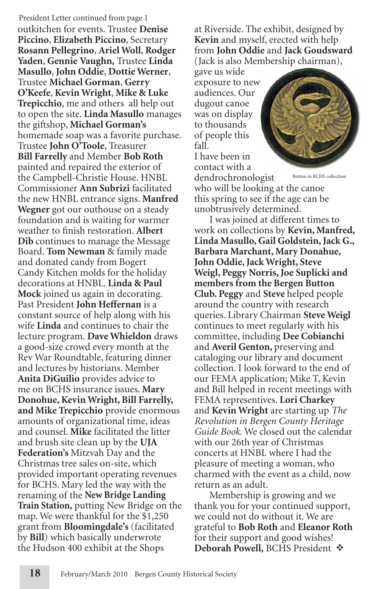President Letter continued from page 1 outkitchen for events. Trustee **Denise Piccino**, **Elizabeth Piccino**, Secretary **Rosann Pellegrino**, **Ariel Woll**, **Rodger Yaden**, **Gennie Vaughn,** Trustee **Linda Masullo**, **John Oddie**, **Dottie Werner**, Trustee **Michael Gorman**, **Gerry O'Keefe**, **Kevin Wright**, **Mike & Luke Trepicchio**, me and others all help out to open the site. **Linda Masullo** manages the giftshop, **Michael Gorman's** homemade soap was a favorite purchase. Trustee **John O'Toole**, Treasurer **Bill Farrelly** and Member **Bob Roth** painted and repaired the exterior of the Campbell-Christie House. HNBL Commissioner **Ann Subrizi** facilitated the new HNBL entrance signs. **Manfred Wegner** got our outhouse on a steady foundation and is waiting for warmer weather to finish restoration. **Albert Dib** continues to manage the Message Board. **Tom Newman** & family made and donated candy from Bogert Candy Kitchen molds for the holiday decorations at HNBL. **Linda & Paul Mock** joined us again in decorating. Past President **John Heffernan** is a constant source of help along with his wife **Linda** and continues to chair the lecture program. **Dave Whieldon** draws a good-size crowd every month at the Rev War Roundtable, featuring dinner and lectures by historians. Member **Anita DiGuilio** provides advice to me on BCHS insurance issues. **Mary Donohue, Kevin Wright, Bill Farrelly, and Mike Trepicchio** provide enormous amounts of organizational time, ideas and counsel. **Mike** facilitated the litter and brush site clean up by the **UJA Federation's** Mitzvah Day and the Christmas tree sales on-site, which provided important operating revenues for BCHS. Mary led the way with the renaming of the **New Bridge Landing Train Station,** putting New Bridge on the map. We were thankful for the \$1,250 grant from **Bloomingdale's** (facilitated by **Bill**) which basically underwrote the Hudson 400 exhibit at the Shops

at Riverside. The exhibit, designed by **Kevin** and myself, erected with help from **John Oddie** and **Jack Goudsward**  (Jack is also Membership chairman),

gave us wide exposure to new audiences. Our dugout canoe was on display to thousands of people this fall. I have been in contact with a dendrochronologist



Button in BCHS collection

who will be looking at the canoe this spring to see if the age can be unobtrusively determined.

I was joined at different times to work on collections by **Kevin, Manfred, Linda Masullo, Gail Goldstein, Jack G., Barbara Marchant, Mary Donahue, John Oddie, Jack Wright, Steve Weigl, Peggy Norris, Joe Suplicki and members from the Bergen Button Club. Peggy** and **Steve** helped people around the country with research queries. Library Chairman **Steve Weigl**  continues to meet regularly with his committee, including **Dee Cobianchi** and **Averil Genton,** preserving and cataloging our library and document collection. I look forward to the end of our FEMA application; Mike T, Kevin and Bill helped in recent meetings with FEMA representives. **Lori Charkey** and **Kevin Wright** are starting up *The Revolution in Bergen County Heritage Guide Book.* We closed out the calendar with our 26th year of Christmas concerts at HNBL where I had the pleasure of meeting a woman, who charmed with the event as a child, now return as an adult.

Membership is growing and we thank you for your continued support, we could not do without it. We are grateful to **Bob Roth** and **Eleanor Roth** for their support and good wishes! **Deborah Powell, BCHS President**  $\Phi$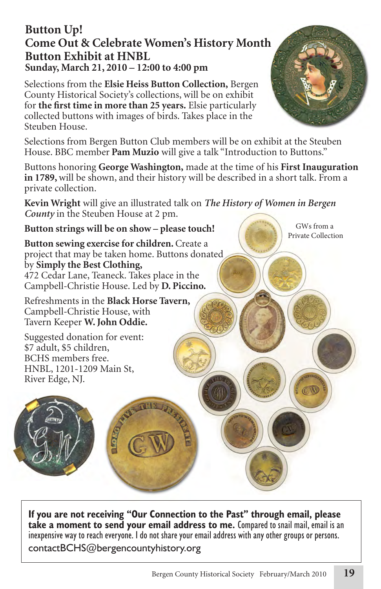## **Button Up! Come Out & Celebrate Women's History Month Button Exhibit at HNBL Sunday, March 21, 2010 – 12:00 to 4:00 pm**

Selections from the **Elsie Heiss Button Collection,** Bergen County Historical Society's collections, will be on exhibit for **the first time in more than 25 years.** Elsie particularly collected buttons with images of birds. Takes place in the Steuben House.

Selections from Bergen Button Club members will be on exhibit at the Steuben House. BBC member **Pam Muzio** will give a talk "Introduction to Buttons."

Buttons honoring **George Washington,** made at the time of his **First Inauguration in 1789,** will be shown, and their history will be described in a short talk. From a private collection.

**Kevin Wright** will give an illustrated talk on *The History of Women in Bergen County* in the Steuben House at 2 pm.

#### **Button strings will be on show – please touch!**

**Button sewing exercise for children.** Create a project that may be taken home. Buttons donated by **Simply the Best Clothing,** 472 Cedar Lane, Teaneck. Takes place in the Campbell-Christie House. Led by **D. Piccino.**

Refreshments in the **Black Horse Tavern,**  Campbell-Christie House, with Tavern Keeper **W. John Oddie.**

Suggested donation for event: \$7 adult, \$5 children, BCHS members free. HNBL, 1201-1209 Main St, River Edge, NJ.

**If you are not receiving "Our Connection to the Past" through email, please take a moment to send your email address to me.** Compared to snail mail, email is an inexpensive way to reach everyone. I do not share your email address with any other groups or persons. contactBCHS@bergencountyhistory.org